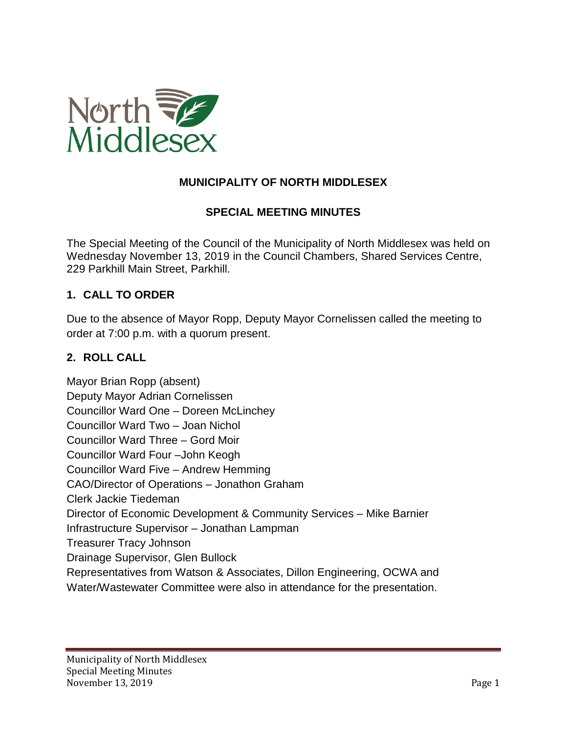

### **MUNICIPALITY OF NORTH MIDDLESEX**

#### **SPECIAL MEETING MINUTES**

The Special Meeting of the Council of the Municipality of North Middlesex was held on Wednesday November 13, 2019 in the Council Chambers, Shared Services Centre, 229 Parkhill Main Street, Parkhill.

#### **1. CALL TO ORDER**

Due to the absence of Mayor Ropp, Deputy Mayor Cornelissen called the meeting to order at 7:00 p.m. with a quorum present.

#### **2. ROLL CALL**

Mayor Brian Ropp (absent) Deputy Mayor Adrian Cornelissen Councillor Ward One – Doreen McLinchey Councillor Ward Two – Joan Nichol Councillor Ward Three – Gord Moir Councillor Ward Four –John Keogh Councillor Ward Five – Andrew Hemming CAO/Director of Operations – Jonathon Graham Clerk Jackie Tiedeman Director of Economic Development & Community Services – Mike Barnier Infrastructure Supervisor – Jonathan Lampman Treasurer Tracy Johnson Drainage Supervisor, Glen Bullock Representatives from Watson & Associates, Dillon Engineering, OCWA and Water/Wastewater Committee were also in attendance for the presentation.